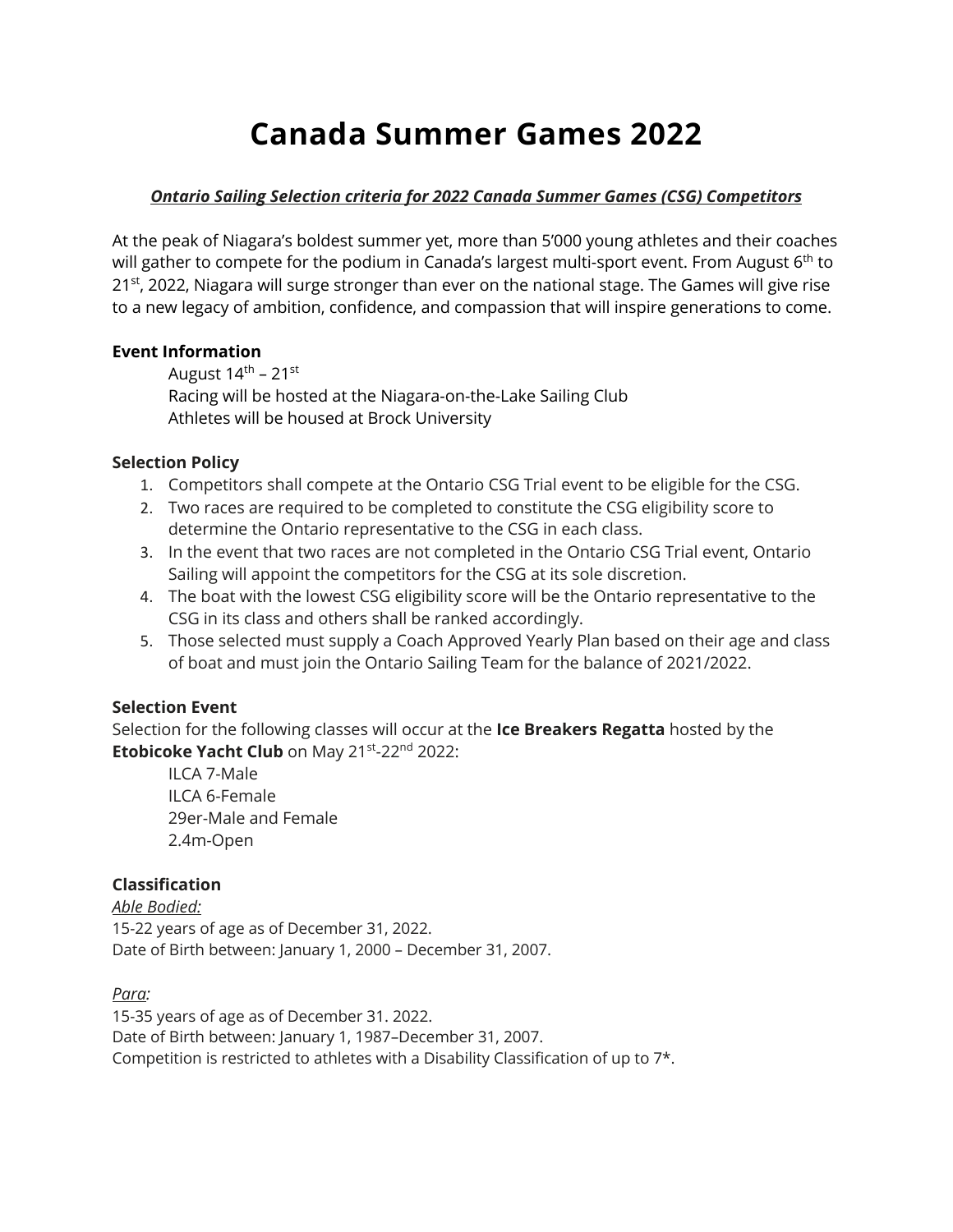# **Canada Summer Games 2022**

#### *Ontario Sailing Selection criteria for 2022 Canada Summer Games (CSG) Competitors*

At the peak of Niagara's boldest summer yet, more than 5'000 young athletes and their coaches will gather to compete for the podium in Canada's largest multi-sport event. From August  $6<sup>th</sup>$  to  $21<sup>st</sup>$ , 2022, Niagara will surge stronger than ever on the national stage. The Games will give rise to a new legacy of ambition, confidence, and compassion that will inspire generations to come.

#### **Event Information**

August  $14^{\text{th}}$  – 21st Racing will be hosted at the Niagara-on-the-Lake Sailing Club Athletes will be housed at Brock University

#### **Selection Policy**

- 1. Competitors shall compete at the Ontario CSG Trial event to be eligible for the CSG.
- 2. Two races are required to be completed to constitute the CSG eligibility score to determine the Ontario representative to the CSG in each class.
- 3. In the event that two races are not completed in the Ontario CSG Trial event, Ontario Sailing will appoint the competitors for the CSG at its sole discretion.
- 4. The boat with the lowest CSG eligibility score will be the Ontario representative to the CSG in its class and others shall be ranked accordingly.
- 5. Those selected must supply a Coach Approved Yearly Plan based on their age and class of boat and must join the Ontario Sailing Team for the balance of 2021/2022.

## **Selection Event**

Selection for the following classes will occur at the **Ice Breakers Regatta** hosted by the **Etobicoke Yacht Club** on May 21st-22nd 2022:

ILCA 7-Male ILCA 6-Female 29er-Male and Female 2.4m-Open

## **Classification**

*Able Bodied:* 15-22 years of age as of December 31, 2022. Date of Birth between: January 1, 2000 – December 31, 2007.

*Para:*

15-35 years of age as of December 31. 2022. Date of Birth between: January 1, 1987–December 31, 2007. Competition is restricted to athletes with a Disability Classification of up to 7\*.